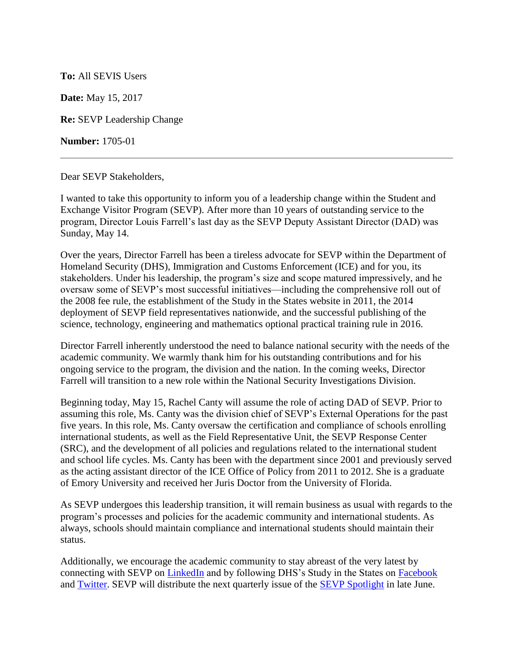## **To:** All SEVIS Users

**Date:** May 15, 2017

**Re:** SEVP Leadership Change

**Number:** 1705-01

Dear SEVP Stakeholders,

I wanted to take this opportunity to inform you of a leadership change within the Student and Exchange Visitor Program (SEVP). After more than 10 years of outstanding service to the program, Director Louis Farrell's last day as the SEVP Deputy Assistant Director (DAD) was Sunday, May 14.

Over the years, Director Farrell has been a tireless advocate for SEVP within the Department of Homeland Security (DHS), Immigration and Customs Enforcement (ICE) and for you, its stakeholders. Under his leadership, the program's size and scope matured impressively, and he oversaw some of SEVP's most successful initiatives—including the comprehensive roll out of the 2008 fee rule, the establishment of the Study in the States website in 2011, the 2014 deployment of SEVP field representatives nationwide, and the successful publishing of the science, technology, engineering and mathematics optional practical training rule in 2016.

Director Farrell inherently understood the need to balance national security with the needs of the academic community. We warmly thank him for his outstanding contributions and for his ongoing service to the program, the division and the nation. In the coming weeks, Director Farrell will transition to a new role within the National Security Investigations Division.

Beginning today, May 15, Rachel Canty will assume the role of acting DAD of SEVP. Prior to assuming this role, Ms. Canty was the division chief of SEVP's External Operations for the past five years. In this role, Ms. Canty oversaw the certification and compliance of schools enrolling international students, as well as the Field Representative Unit, the SEVP Response Center (SRC), and the development of all policies and regulations related to the international student and school life cycles. Ms. Canty has been with the department since 2001 and previously served as the acting assistant director of the ICE Office of Policy from 2011 to 2012. She is a graduate of Emory University and received her Juris Doctor from the University of Florida.

As SEVP undergoes this leadership transition, it will remain business as usual with regards to the program's processes and policies for the academic community and international students. As always, schools should maintain compliance and international students should maintain their status.

Additionally, we encourage the academic community to stay abreast of the very latest by connecting with SEVP on [LinkedIn](https://www.linkedin.com/company/student-and-exchange-visitor-program) and by following DHS's Study in the States on [Facebook](https://www.facebook.com/StudyintheStates/) and [Twitter.](https://twitter.com/studyinstates) SEVP will distribute the next quarterly issue of the [SEVP Spotlight](https://studyinthestates.dhs.gov/publications) in late June.